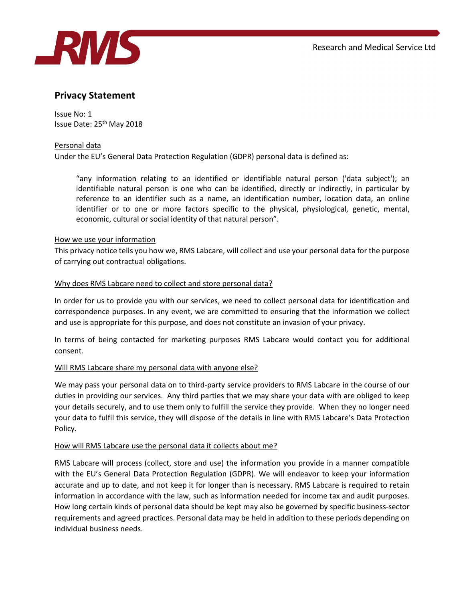

# Privacy Statement

Issue No: 1 Issue Date: 25th May 2018

## Personal data

Under the EU's General Data Protection Regulation (GDPR) personal data is defined as:

"any information relating to an identified or identifiable natural person ('data subject'); an identifiable natural person is one who can be identified, directly or indirectly, in particular by reference to an identifier such as a name, an identification number, location data, an online identifier or to one or more factors specific to the physical, physiological, genetic, mental, economic, cultural or social identity of that natural person".

## How we use your information

This privacy notice tells you how we, RMS Labcare, will collect and use your personal data for the purpose of carrying out contractual obligations.

#### Why does RMS Labcare need to collect and store personal data?

In order for us to provide you with our services, we need to collect personal data for identification and correspondence purposes. In any event, we are committed to ensuring that the information we collect and use is appropriate for this purpose, and does not constitute an invasion of your privacy.

In terms of being contacted for marketing purposes RMS Labcare would contact you for additional consent.

## Will RMS Labcare share my personal data with anyone else?

We may pass your personal data on to third-party service providers to RMS Labcare in the course of our duties in providing our services. Any third parties that we may share your data with are obliged to keep your details securely, and to use them only to fulfill the service they provide. When they no longer need your data to fulfil this service, they will dispose of the details in line with RMS Labcare's Data Protection Policy.

## How will RMS Labcare use the personal data it collects about me?

RMS Labcare will process (collect, store and use) the information you provide in a manner compatible with the EU's General Data Protection Regulation (GDPR). We will endeavor to keep your information accurate and up to date, and not keep it for longer than is necessary. RMS Labcare is required to retain information in accordance with the law, such as information needed for income tax and audit purposes. How long certain kinds of personal data should be kept may also be governed by specific business-sector requirements and agreed practices. Personal data may be held in addition to these periods depending on individual business needs.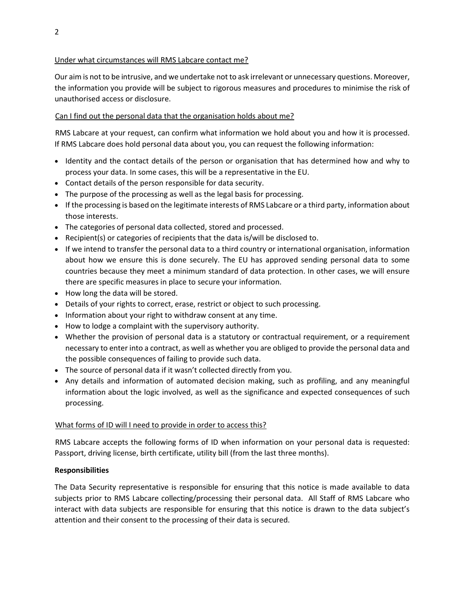## Under what circumstances will RMS Labcare contact me?

Our aim is not to be intrusive, and we undertake not to ask irrelevant or unnecessary questions. Moreover, the information you provide will be subject to rigorous measures and procedures to minimise the risk of unauthorised access or disclosure.

# Can I find out the personal data that the organisation holds about me?

RMS Labcare at your request, can confirm what information we hold about you and how it is processed. If RMS Labcare does hold personal data about you, you can request the following information:

- Identity and the contact details of the person or organisation that has determined how and why to process your data. In some cases, this will be a representative in the EU.
- Contact details of the person responsible for data security.
- The purpose of the processing as well as the legal basis for processing.
- If the processing is based on the legitimate interests of RMS Labcare or a third party, information about those interests.
- The categories of personal data collected, stored and processed.
- Recipient(s) or categories of recipients that the data is/will be disclosed to.
- If we intend to transfer the personal data to a third country or international organisation, information about how we ensure this is done securely. The EU has approved sending personal data to some countries because they meet a minimum standard of data protection. In other cases, we will ensure there are specific measures in place to secure your information.
- How long the data will be stored.
- Details of your rights to correct, erase, restrict or object to such processing.
- Information about your right to withdraw consent at any time.
- How to lodge a complaint with the supervisory authority.
- Whether the provision of personal data is a statutory or contractual requirement, or a requirement necessary to enter into a contract, as well as whether you are obliged to provide the personal data and the possible consequences of failing to provide such data.
- The source of personal data if it wasn't collected directly from you.
- Any details and information of automated decision making, such as profiling, and any meaningful information about the logic involved, as well as the significance and expected consequences of such processing.

## What forms of ID will I need to provide in order to access this?

RMS Labcare accepts the following forms of ID when information on your personal data is requested: Passport, driving license, birth certificate, utility bill (from the last three months).

## Responsibilities

The Data Security representative is responsible for ensuring that this notice is made available to data subjects prior to RMS Labcare collecting/processing their personal data. All Staff of RMS Labcare who interact with data subjects are responsible for ensuring that this notice is drawn to the data subject's attention and their consent to the processing of their data is secured.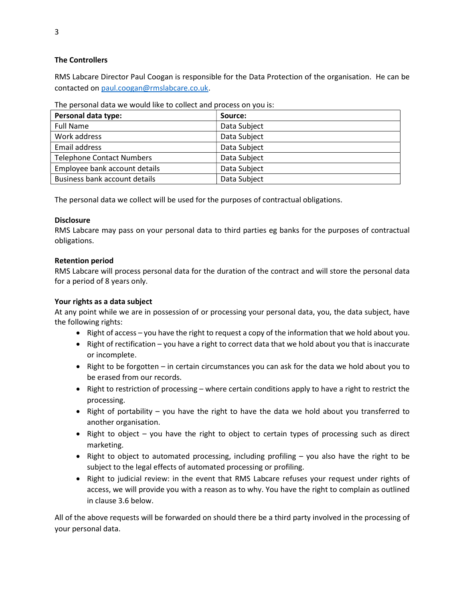## The Controllers

RMS Labcare Director Paul Coogan is responsible for the Data Protection of the organisation. He can be contacted on paul.coogan@rmslabcare.co.uk.

| The personal data we would like to collect and process on you is: |  |
|-------------------------------------------------------------------|--|
|-------------------------------------------------------------------|--|

| Personal data type:              | Source:      |
|----------------------------------|--------------|
| <b>Full Name</b>                 | Data Subject |
| Work address                     | Data Subject |
| Email address                    | Data Subject |
| <b>Telephone Contact Numbers</b> | Data Subject |
| Employee bank account details    | Data Subject |
| Business bank account details    | Data Subject |

The personal data we collect will be used for the purposes of contractual obligations.

## **Disclosure**

RMS Labcare may pass on your personal data to third parties eg banks for the purposes of contractual obligations.

## Retention period

RMS Labcare will process personal data for the duration of the contract and will store the personal data for a period of 8 years only.

## Your rights as a data subject

At any point while we are in possession of or processing your personal data, you, the data subject, have the following rights:

- $\bullet$  Right of access you have the right to request a copy of the information that we hold about you.
- Right of rectification you have a right to correct data that we hold about you that is inaccurate or incomplete.
- Right to be forgotten in certain circumstances you can ask for the data we hold about you to be erased from our records.
- Right to restriction of processing where certain conditions apply to have a right to restrict the processing.
- Right of portability you have the right to have the data we hold about you transferred to another organisation.
- Right to object you have the right to object to certain types of processing such as direct marketing.
- Right to object to automated processing, including profiling  $-$  you also have the right to be subject to the legal effects of automated processing or profiling.
- Right to judicial review: in the event that RMS Labcare refuses your request under rights of access, we will provide you with a reason as to why. You have the right to complain as outlined in clause 3.6 below.

All of the above requests will be forwarded on should there be a third party involved in the processing of your personal data.